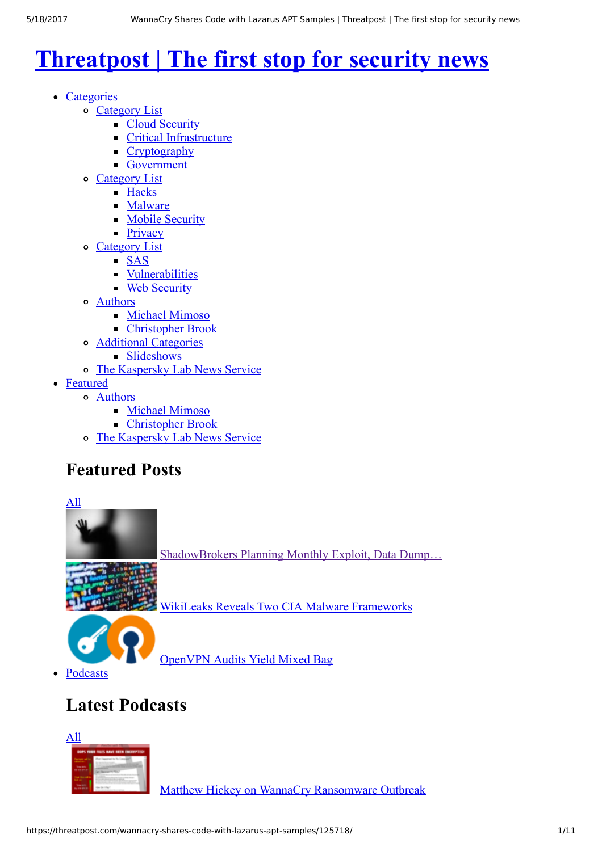# **[Threatpost | The first stop for security news](https://threatpost.com/)**

- Categories
	- Category List
		- [Cloud Security](https://threatpost.com/category/cloud-security/)
		- **[Critical Infrastructure](https://threatpost.com/category/critical-infrastructure/)**
		- [Cryptography](https://threatpost.com/category/cryptography/)
		- [Government](https://threatpost.com/category/government/)
	- Category List
		- **[Hacks](https://threatpost.com/category/hacks/)**
		- [Malware](https://threatpost.com/category/malware-2/)
		- **[Mobile Security](https://threatpost.com/category/mobile-security/)**
		- **[Privacy](https://threatpost.com/category/privacy/)**
	- Category List
		- $SAS$ 
			- **[Vulnerabilities](https://threatpost.com/category/vulnerabilities/)**
			- **[Web Security](https://threatpost.com/category/web-security/)**
	- Authors
		- [Michael Mimoso](http://threatpost.com/author/michael)
		- [Christopher Brook](http://threatpost.com/author/christopher)
	- Additional Categories
		- **[Slideshows](https://threatpost.com/slide-shows)**
	- [The Kaspersky Lab News Service](https://threatpost.com/)
- [Featured](https://threatpost.com/category/featured/)
	- Authors
		- [Michael Mimoso](http://threatpost.com/author/michael)
		- [Christopher Brook](http://threatpost.com/author/christopher)
	- [The Kaspersky Lab News Service](https://threatpost.com/)

## **Featured Posts**





[OpenVPN Audits Yield Mixed Bag](https://threatpost.com/openvpn-audits-yield-mixed-bag/125694/)

[Podcasts](https://threatpost.com/category/podcasts/)

# **Latest Podcasts**



[Matthew Hickey on WannaCry Ransomware Outbreak](https://threatpost.com/matthew-hickey-on-wannacry-ransomware-outbreak/125674/)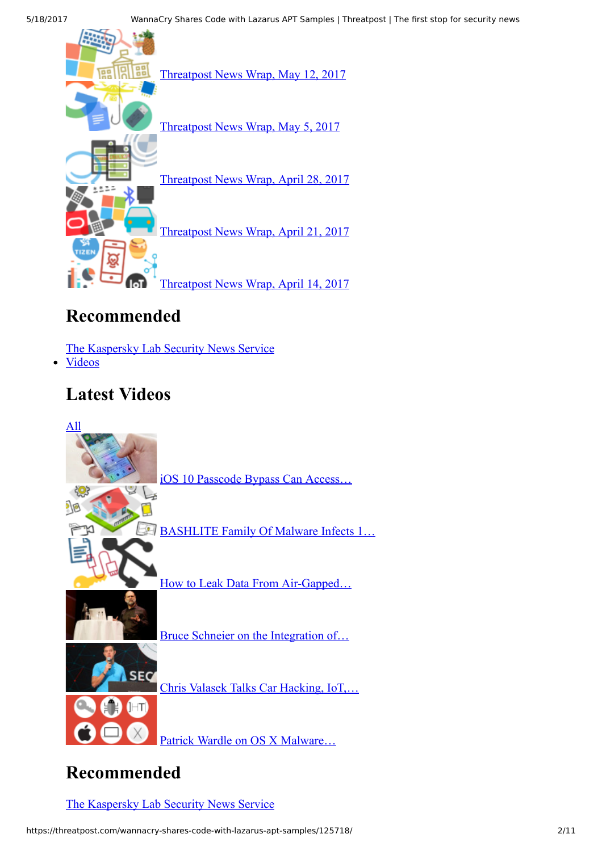

## **Recommended**

[The Kaspersky Lab Security News Service](https://threatpost.com/)

[Videos](https://threatpost.com/category/videos/)

## **Latest Videos**



## **Recommended**

[The Kaspersky Lab Security News Service](https://threatpost.com/)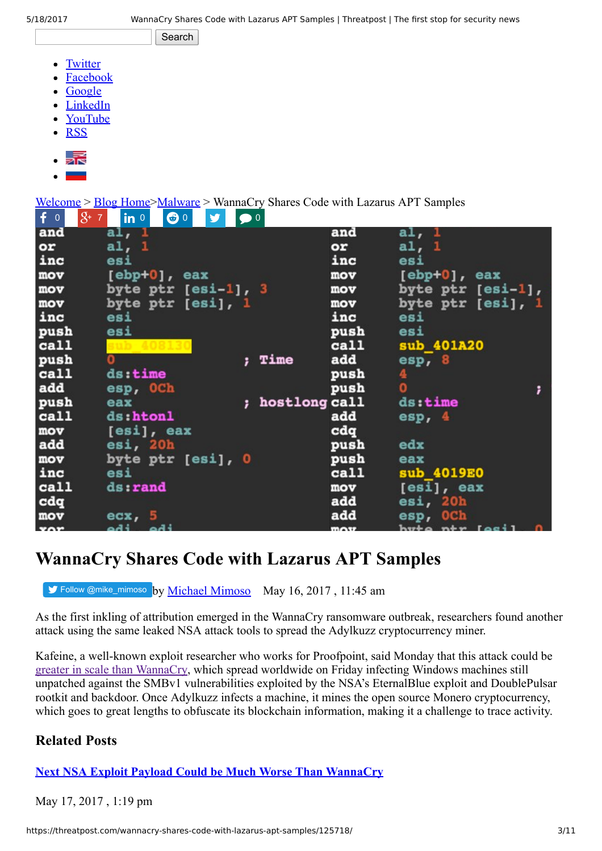Search

- [Twitter](http://twitter.com/threatpost/)
- [Facebook](http://www.facebook.com/Threatpost/)
- [Google](https://plus.google.com/103973344735603121561/posts)
- [LinkedIn](http://www.linkedin.com/groups?gid=1843931)
- [YouTube](http://www.youtube.com/user/threatpost)
- **[RSS](http://threatpost.com/feed)**
- 5.E
- 

[Welcome](https://threatpost.com/) > [Blog Home](https://threatpost.com/blog)[>Malware](https://threatpost.com/category/malware-2/) > WannaCry Shares Code with Lazarus APT Samples

| $f \circ$  | $8 + 7$<br>$\bigcirc$ 0<br>$ $ in $ $<br>V | $\bullet$ <sup>0</sup> |               |      |                                                                                    |   |
|------------|--------------------------------------------|------------------------|---------------|------|------------------------------------------------------------------------------------|---|
| and        | al, 1                                      |                        |               | and  | a1, 1                                                                              |   |
| or         | al, 1                                      |                        |               | or   | al, 1                                                                              |   |
| inc        | esi                                        |                        |               | inc  | esi                                                                                |   |
| mov        | [ebp+0], eax                               |                        |               | mov  | $[ebp+0]$ , eax                                                                    |   |
| mov        | byte ptr $[esi-1]$ , 3                     |                        |               | mov  | byte ptr [esi-1],                                                                  |   |
| mov        | byte ptr [esi], 1                          |                        |               | mov  | byte ptr [esi], 1                                                                  |   |
| inc        | esi                                        |                        |               | inc  | esi                                                                                |   |
| push       | esi                                        |                        |               | push | esi                                                                                |   |
| call       |                                            |                        |               | call | sub 401A20                                                                         |   |
| push       | O                                          |                        | Time          | add  | esp, 8                                                                             |   |
| call       | ds:time                                    |                        |               | push | 4                                                                                  |   |
| add        | esp, OCh                                   |                        |               | push | $\overline{0}$                                                                     | ; |
| push       | eax                                        |                        | hostlong call |      | ds:time                                                                            |   |
| call       | ds:htonl                                   |                        |               | add  | $\exp$ , 4                                                                         |   |
| mov        | [esi], eax                                 |                        |               | cdq  |                                                                                    |   |
| add        | esi, 20h                                   |                        |               | push | edx                                                                                |   |
| mov        | byte ptr [esi], 0                          |                        |               | push | eax                                                                                |   |
| inc        | esi                                        |                        |               | call | sub 4019E0                                                                         |   |
| call       | ds:rand                                    |                        |               | mov  | [esi], eax                                                                         |   |
| cdq        |                                            |                        |               | add  | esi, 20h                                                                           |   |
| mov        | exc, 5                                     |                        |               | add  | esp, OCh                                                                           |   |
| $x \cap r$ | iha iha                                    |                        |               | max  | $h$ <i>w</i> $h$ <sup><math>\alpha</math></sup> $h$ <sup><math>\gamma</math></sup> |   |

## **WannaCry Shares Code with Lazarus APT Samples**

[Follow @mike\\_mimoso](https://twitter.com/intent/follow?original_referer=https%3A%2F%2Fthreatpost.com%2Fwannacry-shares-code-with-lazarus-apt-samples%2F125718%2F&ref_src=twsrc%5Etfw®ion=follow_link&screen_name=mike_mimoso&tw_p=followbutton) by [Michael Mimoso](https://threatpost.com/author/michael/) May 16, 2017, 11:45 am

As the first inkling of attribution emerged in the WannaCry ransomware outbreak, researchers found another attack using the same leaked NSA attack tools to spread the Adylkuzz cryptocurrency miner.

Kafeine, a well-known exploit researcher who works for Proofpoint, said Monday that this attack could be [greater in scale than WannaCry](https://www.proofpoint.com/us/threat-insight/post/adylkuzz-cryptocurrency-mining-malware-spreading-for-weeks-via-eternalblue-doublepulsar), which spread worldwide on Friday infecting Windows machines still unpatched against the SMBv1 vulnerabilities exploited by the NSA's EternalBlue exploit and DoublePulsar rootkit and backdoor. Once Adylkuzz infects a machine, it mines the open source Monero cryptocurrency, which goes to great lengths to obfuscate its blockchain information, making it a challenge to trace activity.

## **Related Posts**

**[Next NSA Exploit Payload Could be Much Worse Than WannaCry](https://threatpost.com/next-nsa-exploit-payload-could-be-much-worse-than-wannacry/125743/)**

May 17, 2017 , 1:19 pm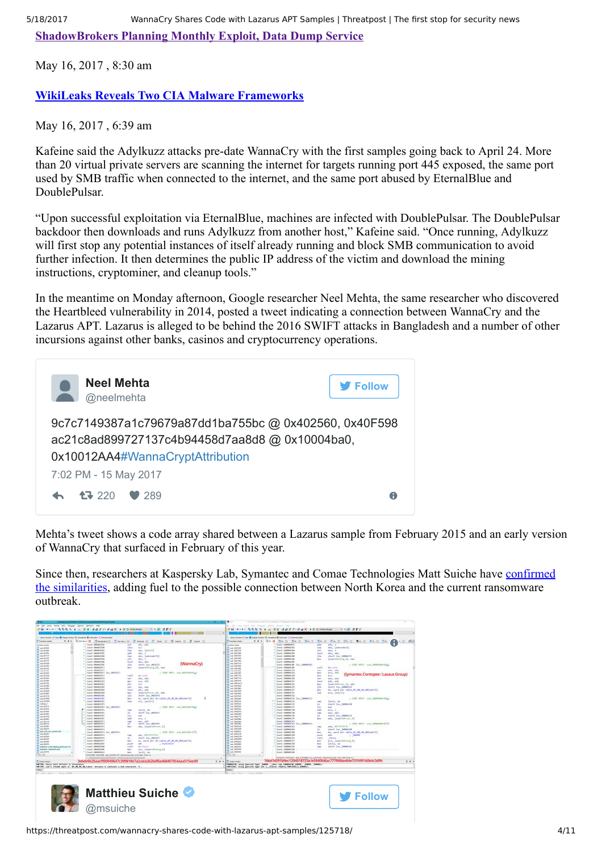**[ShadowBrokers Planning Monthly Exploit, Data Dump Service](https://threatpost.com/shadowbrokers-planning-monthly-exploit-data-dump-service/125710/)**

May 16, 2017 , 8:30 am

#### **[WikiLeaks Reveals Two CIA Malware Frameworks](https://threatpost.com/wikileaks-reveals-two-cia-malware-frameworks/125701/)**

May 16, 2017 , 6:39 am

Kafeine said the Adylkuzz attacks pre-date WannaCry with the first samples going back to April 24. More than 20 virtual private servers are scanning the internet for targets running port 445 exposed, the same port used by SMB traffic when connected to the internet, and the same port abused by EternalBlue and DoublePulsar.

"Upon successful exploitation via EternalBlue, machines are infected with DoublePulsar. The DoublePulsar backdoor then downloads and runs Adylkuzz from another host," Kafeine said. "Once running, Adylkuzz will first stop any potential instances of itself already running and block SMB communication to avoid further infection. It then determines the public IP address of the victim and download the mining instructions, cryptominer, and cleanup tools."

In the meantime on Monday afternoon, Google researcher Neel Mehta, the same researcher who discovered the Heartbleed vulnerability in 2014, posted a tweet indicating a connection between WannaCry and the Lazarus APT. Lazarus is alleged to be behind the 2016 SWIFT attacks in Bangladesh and a number of other incursions against other banks, casinos and cryptocurrency operations.

| <b>Neel Mehta</b><br>@neelmehta                                                                                                           | <b>V</b> Follow |
|-------------------------------------------------------------------------------------------------------------------------------------------|-----------------|
| 9c7c7149387a1c79679a87dd1ba755bc @ 0x402560, 0x40F598<br>ac21c8ad899727137c4b94458d7aa8d8@0x10004ba0,<br>0x10012AA4#WannaCryptAttribution |                 |
| 7:02 PM - 15 May 2017                                                                                                                     |                 |
| $\leftarrow$ $\leftarrow$ 220 $\leftarrow$ 289                                                                                            |                 |

Mehta's tweet shows a code array shared between a Lazarus sample from February 2015 and an early version of WannaCry that surfaced in February of this year.

[Since then, researchers at Kaspersky Lab, Symantec and Comae Technologies Matt Suiche have confirmed](https://securelist.com/blog/research/78431/wannacry-and-lazarus-group-the-missing-link/) the similarities, adding fuel to the possible connection between North Korea and the current ransomware outbreak.

| gar jury lend you design gallers govern rely<br>清朝 **** 医感恩病 b a g 国旗 清清进进 建磁器 本国国际网络城<br>Lines System 11 Fam 18 Hopke System 10 Linearboard 18 Interaction 11 International<br>P. Pummara nindos<br>Turn 7 / DONATIVAL<br><b><i><u>Selections</u></i></b><br>Lexi: (00032550<br>$T$ as 4000<br>CALCOMMUTER<br><b>Calc Artist</b><br>Track arrests<br>text research.<br>T. s.e. group<br>BRITISHELL FALL<br>FLAALAFOS<br>Fach -Beautries<br><b>CAR BIVIT</b><br>Feed (deed) 7400<br><b>AA ATURE</b><br><b>Excel: (PAGE253)</b><br><b>CALENS</b><br>Fasty MANUTCL<br>AA.4733<br><b>Farsh - Belgaration</b><br>n.a. AVIVA<br>tast-MANATCS Inc. MONT:<br>nd AT50<br><b>MA AFFERD</b><br>hash (MMH25C5)<br><b>HALRIVER</b><br>Text (806821CE<br><b>AR ATMA</b><br><b>First (MANUFICO)</b><br><b>ALL ATTNS</b><br>hash debendants<br><b>S.R. ATVIES</b><br>text (MAR/SEA)<br>nd.KHIS<br>hash researches<br>SALATION<br>tast: 00002550<br>na.com<br>THAT (BANK)SEC | $\mathcal{L} = \mathcal{L} \mathcal{L} \mathcal{L} \mathcal{L} \mathcal{L} \mathcal{L} \mathcal{L} \mathcal{L} \mathcal{L} \mathcal{L} \mathcal{L} \mathcal{L} \mathcal{L} \mathcal{L} \mathcal{L} \mathcal{L} \mathcal{L} \mathcal{L} \mathcal{L} \mathcal{L} \mathcal{L} \mathcal{L} \mathcal{L} \mathcal{L} \mathcal{L} \mathcal{L} \mathcal{L} \mathcal{L} \mathcal{L} \mathcal{L} \mathcal{L} \mathcal{L} \mathcal{L} \mathcal{L} \mathcal{L} \mathcal$<br>---<br>0 # x   Strew+D   Steamer   Steamer   Strewber   Strew   Strewber   Street   Street   Street   Street   Street   Street   Street   Street   Street   Street   Street   Street   Street   Street   Street   Street   Street   S<br>$+0.1$<br><b>Address</b><br>141x<br><b>BOX</b><br><b>Lear</b><br>ear, [pil+1]<br>$-44$<br>ede.<br>lea<br>shy. [sdy+adx*3]<br>sk1<br>sky. I<br>test<br>alis, she<br><b>WannaCry</b><br>Cis-<br>shart Day 482673<br>dec.<br>[usp+1dinarg d], sax<br>; CIDE KREF: suk ARJUGHCLIS<br>$+412$<br>the crucial<br>ada, ada<br>ALC U<br>$\pi(x_1, k 0)$<br><b>MITY</b> | Fundame soldier<br>Ruturback Albred<br>T as leaves<br>E na imruit<br>F. add. MAYORD<br>7. LA MINER<br>F. ad. 1001400<br>7 as carne<br>7 mill restricts<br><b>F</b> air littlest<br><b>F. A.A. SIROWED</b><br><b>CAR MAYAR</b><br>La miner<br><b>Case Internet</b> | In 240 party leads they Telephone Gallery, Blockow 1962.<br><b>AG HIMI ANA A LUZO</b><br>does former 10 have \$5 house Ander \$5 couplest \$5 instructor 10 townstantial<br><b>Cast: LONNARYS</b><br>East (S0000C0)<br>East: 100004C04<br>Excel / DOMACOS<br>Trin 11 DIRENTOS<br>Trend : Edmobilität<br><b>KanK: LOODACIN</b><br>Frent   Librario at<br>First: Eddie (14) | Add J - J at X + 00 means<br>444<br>eda, J<br>$1 - 1$<br>shy, InducedaTJI<br>sh1<br>site. 1<br>test<br>elec. who<br>Ga.<br>short Day 18804CRD<br>more.<br>test (protocol le protocol | 大气泡 深护的<br>$0 - 10$<br>ImageLikeary dl. mos |
|--------------------------------------------------------------------------------------------------------------------------------------------------------------------------------------------------------------------------------------------------------------------------------------------------------------------------------------------------------------------------------------------------------------------------------------------------------------------------------------------------------------------------------------------------------------------------------------------------------------------------------------------------------------------------------------------------------------------------------------------------------------------------------------------------------------------------------------------------------------------------------------------------------------------------------------------------------------|------------------------------------------------------------------------------------------------------------------------------------------------------------------------------------------------------------------------------------------------------------------------------------------------------------------------------------------------------------------------------------------------------------------------------------------------------------------------------------------------------------------------------------------------------------------------------------------------------------------------------------------------------------------------------------------------------------------------------------------------------------------------------------------------------------------------------------------------------------------------------------------------------------------------------------------------------------------------------------------------------------------------------------------------------------------------|-------------------------------------------------------------------------------------------------------------------------------------------------------------------------------------------------------------------------------------------------------------------|---------------------------------------------------------------------------------------------------------------------------------------------------------------------------------------------------------------------------------------------------------------------------------------------------------------------------------------------------------------------------|--------------------------------------------------------------------------------------------------------------------------------------------------------------------------------------|---------------------------------------------|
|                                                                                                                                                                                                                                                                                                                                                                                                                                                                                                                                                                                                                                                                                                                                                                                                                                                                                                                                                              |                                                                                                                                                                                                                                                                                                                                                                                                                                                                                                                                                                                                                                                                                                                                                                                                                                                                                                                                                                                                                                                                        |                                                                                                                                                                                                                                                                   |                                                                                                                                                                                                                                                                                                                                                                           |                                                                                                                                                                                      |                                             |
|                                                                                                                                                                                                                                                                                                                                                                                                                                                                                                                                                                                                                                                                                                                                                                                                                                                                                                                                                              |                                                                                                                                                                                                                                                                                                                                                                                                                                                                                                                                                                                                                                                                                                                                                                                                                                                                                                                                                                                                                                                                        |                                                                                                                                                                                                                                                                   |                                                                                                                                                                                                                                                                                                                                                                           |                                                                                                                                                                                      |                                             |
|                                                                                                                                                                                                                                                                                                                                                                                                                                                                                                                                                                                                                                                                                                                                                                                                                                                                                                                                                              |                                                                                                                                                                                                                                                                                                                                                                                                                                                                                                                                                                                                                                                                                                                                                                                                                                                                                                                                                                                                                                                                        |                                                                                                                                                                                                                                                                   |                                                                                                                                                                                                                                                                                                                                                                           |                                                                                                                                                                                      |                                             |
|                                                                                                                                                                                                                                                                                                                                                                                                                                                                                                                                                                                                                                                                                                                                                                                                                                                                                                                                                              |                                                                                                                                                                                                                                                                                                                                                                                                                                                                                                                                                                                                                                                                                                                                                                                                                                                                                                                                                                                                                                                                        |                                                                                                                                                                                                                                                                   |                                                                                                                                                                                                                                                                                                                                                                           |                                                                                                                                                                                      |                                             |
|                                                                                                                                                                                                                                                                                                                                                                                                                                                                                                                                                                                                                                                                                                                                                                                                                                                                                                                                                              |                                                                                                                                                                                                                                                                                                                                                                                                                                                                                                                                                                                                                                                                                                                                                                                                                                                                                                                                                                                                                                                                        |                                                                                                                                                                                                                                                                   |                                                                                                                                                                                                                                                                                                                                                                           |                                                                                                                                                                                      |                                             |
|                                                                                                                                                                                                                                                                                                                                                                                                                                                                                                                                                                                                                                                                                                                                                                                                                                                                                                                                                              |                                                                                                                                                                                                                                                                                                                                                                                                                                                                                                                                                                                                                                                                                                                                                                                                                                                                                                                                                                                                                                                                        |                                                                                                                                                                                                                                                                   |                                                                                                                                                                                                                                                                                                                                                                           |                                                                                                                                                                                      |                                             |
|                                                                                                                                                                                                                                                                                                                                                                                                                                                                                                                                                                                                                                                                                                                                                                                                                                                                                                                                                              |                                                                                                                                                                                                                                                                                                                                                                                                                                                                                                                                                                                                                                                                                                                                                                                                                                                                                                                                                                                                                                                                        |                                                                                                                                                                                                                                                                   |                                                                                                                                                                                                                                                                                                                                                                           |                                                                                                                                                                                      |                                             |
|                                                                                                                                                                                                                                                                                                                                                                                                                                                                                                                                                                                                                                                                                                                                                                                                                                                                                                                                                              |                                                                                                                                                                                                                                                                                                                                                                                                                                                                                                                                                                                                                                                                                                                                                                                                                                                                                                                                                                                                                                                                        |                                                                                                                                                                                                                                                                   |                                                                                                                                                                                                                                                                                                                                                                           |                                                                                                                                                                                      |                                             |
|                                                                                                                                                                                                                                                                                                                                                                                                                                                                                                                                                                                                                                                                                                                                                                                                                                                                                                                                                              |                                                                                                                                                                                                                                                                                                                                                                                                                                                                                                                                                                                                                                                                                                                                                                                                                                                                                                                                                                                                                                                                        |                                                                                                                                                                                                                                                                   |                                                                                                                                                                                                                                                                                                                                                                           |                                                                                                                                                                                      |                                             |
|                                                                                                                                                                                                                                                                                                                                                                                                                                                                                                                                                                                                                                                                                                                                                                                                                                                                                                                                                              |                                                                                                                                                                                                                                                                                                                                                                                                                                                                                                                                                                                                                                                                                                                                                                                                                                                                                                                                                                                                                                                                        |                                                                                                                                                                                                                                                                   |                                                                                                                                                                                                                                                                                                                                                                           |                                                                                                                                                                                      |                                             |
|                                                                                                                                                                                                                                                                                                                                                                                                                                                                                                                                                                                                                                                                                                                                                                                                                                                                                                                                                              |                                                                                                                                                                                                                                                                                                                                                                                                                                                                                                                                                                                                                                                                                                                                                                                                                                                                                                                                                                                                                                                                        |                                                                                                                                                                                                                                                                   |                                                                                                                                                                                                                                                                                                                                                                           |                                                                                                                                                                                      |                                             |
|                                                                                                                                                                                                                                                                                                                                                                                                                                                                                                                                                                                                                                                                                                                                                                                                                                                                                                                                                              |                                                                                                                                                                                                                                                                                                                                                                                                                                                                                                                                                                                                                                                                                                                                                                                                                                                                                                                                                                                                                                                                        |                                                                                                                                                                                                                                                                   |                                                                                                                                                                                                                                                                                                                                                                           |                                                                                                                                                                                      |                                             |
|                                                                                                                                                                                                                                                                                                                                                                                                                                                                                                                                                                                                                                                                                                                                                                                                                                                                                                                                                              |                                                                                                                                                                                                                                                                                                                                                                                                                                                                                                                                                                                                                                                                                                                                                                                                                                                                                                                                                                                                                                                                        |                                                                                                                                                                                                                                                                   |                                                                                                                                                                                                                                                                                                                                                                           |                                                                                                                                                                                      | ; CODE AREE: truly 19000008-CA23            |
|                                                                                                                                                                                                                                                                                                                                                                                                                                                                                                                                                                                                                                                                                                                                                                                                                                                                                                                                                              |                                                                                                                                                                                                                                                                                                                                                                                                                                                                                                                                                                                                                                                                                                                                                                                                                                                                                                                                                                                                                                                                        |                                                                                                                                                                                                                                                                   |                                                                                                                                                                                                                                                                                                                                                                           | 1411<br>distant                                                                                                                                                                      |                                             |
|                                                                                                                                                                                                                                                                                                                                                                                                                                                                                                                                                                                                                                                                                                                                                                                                                                                                                                                                                              |                                                                                                                                                                                                                                                                                                                                                                                                                                                                                                                                                                                                                                                                                                                                                                                                                                                                                                                                                                                                                                                                        |                                                                                                                                                                                                                                                                   | <b>Fax4: DANAC14</b>                                                                                                                                                                                                                                                                                                                                                      | edy, eds<br>sor.<br><b>MAY</b><br>and a state.                                                                                                                                       |                                             |
|                                                                                                                                                                                                                                                                                                                                                                                                                                                                                                                                                                                                                                                                                                                                                                                                                                                                                                                                                              |                                                                                                                                                                                                                                                                                                                                                                                                                                                                                                                                                                                                                                                                                                                                                                                                                                                                                                                                                                                                                                                                        |                                                                                                                                                                                                                                                                   | Keyn - GANACIE                                                                                                                                                                                                                                                                                                                                                            | ally<br><b>ALC</b>                                                                                                                                                                   | (Symantec Contopee / Lazaus Group)          |
|                                                                                                                                                                                                                                                                                                                                                                                                                                                                                                                                                                                                                                                                                                                                                                                                                                                                                                                                                              |                                                                                                                                                                                                                                                                                                                                                                                                                                                                                                                                                                                                                                                                                                                                                                                                                                                                                                                                                                                                                                                                        | as records                                                                                                                                                                                                                                                        | fust (1000AC10                                                                                                                                                                                                                                                                                                                                                            | sole.<br>441, 441                                                                                                                                                                    |                                             |
|                                                                                                                                                                                                                                                                                                                                                                                                                                                                                                                                                                                                                                                                                                                                                                                                                                                                                                                                                              |                                                                                                                                                                                                                                                                                                                                                                                                                                                                                                                                                                                                                                                                                                                                                                                                                                                                                                                                                                                                                                                                        | <b>Court Internet</b>                                                                                                                                                                                                                                             | hest: EdddeCSI                                                                                                                                                                                                                                                                                                                                                            | test<br>$441 - 441$                                                                                                                                                                  |                                             |
|                                                                                                                                                                                                                                                                                                                                                                                                                                                                                                                                                                                                                                                                                                                                                                                                                                                                                                                                                              | $\mathcal{L}_{\mathcal{A}}$<br><b>ALC</b>                                                                                                                                                                                                                                                                                                                                                                                                                                                                                                                                                                                                                                                                                                                                                                                                                                                                                                                                                                                                                              | as rened                                                                                                                                                                                                                                                          | fuser: Eddied (24)                                                                                                                                                                                                                                                                                                                                                        | <b>ALC U</b>                                                                                                                                                                         | [usptidimum_4], ads                         |
|                                                                                                                                                                                                                                                                                                                                                                                                                                                                                                                                                                                                                                                                                                                                                                                                                                                                                                                                                              | <b>Allen</b><br>ear, ear                                                                                                                                                                                                                                                                                                                                                                                                                                                                                                                                                                                                                                                                                                                                                                                                                                                                                                                                                                                                                                               | <b>Cas Inces</b>                                                                                                                                                                                                                                                  | text: 50004(25)                                                                                                                                                                                                                                                                                                                                                           | $5 - 4$                                                                                                                                                                              | short Lor 18004(43)                         |
|                                                                                                                                                                                                                                                                                                                                                                                                                                                                                                                                                                                                                                                                                                                                                                                                                                                                                                                                                              | test<br>14.744                                                                                                                                                                                                                                                                                                                                                                                                                                                                                                                                                                                                                                                                                                                                                                                                                                                                                                                                                                                                                                                         | $\Gamma$ with AMPROV<br>T. La. Instrakto                                                                                                                                                                                                                          | <b>Kash : Melded 37</b>                                                                                                                                                                                                                                                                                                                                                   | <b>MAY</b>                                                                                                                                                                           | dx, sord atr table \$1.00.04.00(ads*2)      |
|                                                                                                                                                                                                                                                                                                                                                                                                                                                                                                                                                                                                                                                                                                                                                                                                                                                                                                                                                              | Teapeldheuse, 81; ads<br>an-                                                                                                                                                                                                                                                                                                                                                                                                                                                                                                                                                                                                                                                                                                                                                                                                                                                                                                                                                                                                                                           | $\overline{L}$ ask, hillying                                                                                                                                                                                                                                      | twat: 64444724                                                                                                                                                                                                                                                                                                                                                            | Ine<br>eca. [es[4]]                                                                                                                                                                  |                                             |
| AA AV/S                                                                                                                                                                                                                                                                                                                                                                                                                                                                                                                                                                                                                                                                                                                                                                                                                                                                                                                                                      | 114<br>short lise saints.                                                                                                                                                                                                                                                                                                                                                                                                                                                                                                                                                                                                                                                                                                                                                                                                                                                                                                                                                                                                                                              | <b>Cas terre</b>                                                                                                                                                                                                                                                  | Turan : Sobbast 32                                                                                                                                                                                                                                                                                                                                                        |                                                                                                                                                                                      |                                             |
| taxt steatrich<br>sa.com                                                                                                                                                                                                                                                                                                                                                                                                                                                                                                                                                                                                                                                                                                                                                                                                                                                                                                                                     | the word are derestile \$9,000,000 environ-<br>in 1                                                                                                                                                                                                                                                                                                                                                                                                                                                                                                                                                                                                                                                                                                                                                                                                                                                                                                                                                                                                                    | 7. auk. NASCINE                                                                                                                                                                                                                                                   |                                                                                                                                                                                                                                                                                                                                                                           | heid: (50004C32 3nd 50004C32)                                                                                                                                                        | 1 CODE XREE: suit ENGINEERINGLY             |
| <b>LA ATOM</b><br><b>CANT / BOARDSEA</b>                                                                                                                                                                                                                                                                                                                                                                                                                                                                                                                                                                                                                                                                                                                                                                                                                                                                                                                     | Ins.<br>eck, [es[4]]                                                                                                                                                                                                                                                                                                                                                                                                                                                                                                                                                                                                                                                                                                                                                                                                                                                                                                                                                                                                                                                   | T as veryon                                                                                                                                                                                                                                                       | Text   SHARACEZ                                                                                                                                                                                                                                                                                                                                                           | $[0.01]$ , die<br>1901                                                                                                                                                               |                                             |
| makeda 21<br>twich: INSURESCO<br>SA ATEN                                                                                                                                                                                                                                                                                                                                                                                                                                                                                                                                                                                                                                                                                                                                                                                                                                                                                                                     |                                                                                                                                                                                                                                                                                                                                                                                                                                                                                                                                                                                                                                                                                                                                                                                                                                                                                                                                                                                                                                                                        | 7 ad 10033<br>T La Militia                                                                                                                                                                                                                                        | twst:50004CH                                                                                                                                                                                                                                                                                                                                                              | short Sec. 1000400<br>10                                                                                                                                                             |                                             |
| heat: meenings loc esings.<br>AA ATES                                                                                                                                                                                                                                                                                                                                                                                                                                                                                                                                                                                                                                                                                                                                                                                                                                                                                                                        | ; CODE ARSY: main 4452500-1441)                                                                                                                                                                                                                                                                                                                                                                                                                                                                                                                                                                                                                                                                                                                                                                                                                                                                                                                                                                                                                                        | <b>F. ad. ISSUE</b>                                                                                                                                                                                                                                               | Turn T: 2000AC37<br><b>CALE   SIMMACTA</b>                                                                                                                                                                                                                                                                                                                                | End.<br>448<br>$-14$                                                                                                                                                                 |                                             |
| LEWAT (MANAZICS)<br><b>LA UTA</b><br>THAT / BOARDTATE                                                                                                                                                                                                                                                                                                                                                                                                                                                                                                                                                                                                                                                                                                                                                                                                                                                                                                        | tecs), de<br>$\sim$<br>n.<br>short bac exists?                                                                                                                                                                                                                                                                                                                                                                                                                                                                                                                                                                                                                                                                                                                                                                                                                                                                                                                                                                                                                         | T. Ive, NIRORO                                                                                                                                                                                                                                                    | TaxT: 10004Clfd                                                                                                                                                                                                                                                                                                                                                           | $468 - 21$<br><b>CALL</b><br>early sell.                                                                                                                                             |                                             |
| as our<br>East (MAR/127)                                                                                                                                                                                                                                                                                                                                                                                                                                                                                                                                                                                                                                                                                                                                                                                                                                                                                                                                     | ĩш<br><b>FAX</b>                                                                                                                                                                                                                                                                                                                                                                                                                                                                                                                                                                                                                                                                                                                                                                                                                                                                                                                                                                                                                                                       | F as more                                                                                                                                                                                                                                                         | East Linkeler to                                                                                                                                                                                                                                                                                                                                                          | ×<br>short Dec 18004032                                                                                                                                                              |                                             |
| AA ATRAF<br>Text: 00402107                                                                                                                                                                                                                                                                                                                                                                                                                                                                                                                                                                                                                                                                                                                                                                                                                                                                                                                                   | ьM<br>$16.6 - 2$                                                                                                                                                                                                                                                                                                                                                                                                                                                                                                                                                                                                                                                                                                                                                                                                                                                                                                                                                                                                                                                       | To was concerns<br>as course                                                                                                                                                                                                                                      | Excell   SINNACIA                                                                                                                                                                                                                                                                                                                                                         | <b>ALC</b>                                                                                                                                                                           | eds. (papeldinger A)                        |
| na sunt<br>East (Month) 2<br><b>MA AVENUE</b>                                                                                                                                                                                                                                                                                                                                                                                                                                                                                                                                                                                                                                                                                                                                                                                                                                                                                                                | <b>COL</b><br>ear, edi                                                                                                                                                                                                                                                                                                                                                                                                                                                                                                                                                                                                                                                                                                                                                                                                                                                                                                                                                                                                                                                 | T. La Method                                                                                                                                                                                                                                                      | Excel: 10004C45                                                                                                                                                                                                                                                                                                                                                           |                                                                                                                                                                                      |                                             |
| .) Lisat meeting<br>na store                                                                                                                                                                                                                                                                                                                                                                                                                                                                                                                                                                                                                                                                                                                                                                                                                                                                                                                                 | <b>o</b><br>short loc export                                                                                                                                                                                                                                                                                                                                                                                                                                                                                                                                                                                                                                                                                                                                                                                                                                                                                                                                                                                                                                           | na cocret                                                                                                                                                                                                                                                         |                                                                                                                                                                                                                                                                                                                                                                           | Text (DROBERS Lac DROBECAS)                                                                                                                                                          | L. CODE ARAT: sun Important-S171            |
| <b>LA POST</b><br><b>East - MAINTIFE</b>                                                                                                                                                                                                                                                                                                                                                                                                                                                                                                                                                                                                                                                                                                                                                                                                                                                                                                                     | eds. [espildbour 8]<br><b>MAY</b>                                                                                                                                                                                                                                                                                                                                                                                                                                                                                                                                                                                                                                                                                                                                                                                                                                                                                                                                                                                                                                      | A.A. FARDARE                                                                                                                                                                                                                                                      | Twell: 10004C43                                                                                                                                                                                                                                                                                                                                                           | eds, WITHITIS<br>o mor                                                                                                                                                               |                                             |
| sa sixo<br>East / MAKELEA                                                                                                                                                                                                                                                                                                                                                                                                                                                                                                                                                                                                                                                                                                                                                                                                                                                                                                                                    |                                                                                                                                                                                                                                                                                                                                                                                                                                                                                                                                                                                                                                                                                                                                                                                                                                                                                                                                                                                                                                                                        | n/a UNIVARD                                                                                                                                                                                                                                                       | Exist / Deemecas                                                                                                                                                                                                                                                                                                                                                          | short loc 10004000<br><b>Kill</b>                                                                                                                                                    |                                             |
| <b>Sale Affirmer remained</b><br>Fresh (GOODSTATA Los GOODS)<br>ALCOHO                                                                                                                                                                                                                                                                                                                                                                                                                                                                                                                                                                                                                                                                                                                                                                                                                                                                                       | ; COOK XHIE: mult delibides to a                                                                                                                                                                                                                                                                                                                                                                                                                                                                                                                                                                                                                                                                                                                                                                                                                                                                                                                                                                                                                                       | <b>IA MISED</b><br>sue resource                                                                                                                                                                                                                                   | <b>Keyk - Inbonacial</b>                                                                                                                                                                                                                                                                                                                                                  | <b>STY</b>                                                                                                                                                                           | de, sond ptr table 45.00.04.00(eds"2)       |
| Fax5 - MAKEZERA<br><b>LA AUSE</b>                                                                                                                                                                                                                                                                                                                                                                                                                                                                                                                                                                                                                                                                                                                                                                                                                                                                                                                            | adv., APSTERVER<br>1,840                                                                                                                                                                                                                                                                                                                                                                                                                                                                                                                                                                                                                                                                                                                                                                                                                                                                                                                                                                                                                                               | <b>LA TRICE</b>                                                                                                                                                                                                                                                   | <b>TaxE: DANACTA</b>                                                                                                                                                                                                                                                                                                                                                      | <b>Aug 21</b><br>ad a                                                                                                                                                                | $1 -$ Dalishin                              |
| heat (BMA2572)<br>nik Killed                                                                                                                                                                                                                                                                                                                                                                                                                                                                                                                                                                                                                                                                                                                                                                                                                                                                                                                                 | short lies \$82617<br>34                                                                                                                                                                                                                                                                                                                                                                                                                                                                                                                                                                                                                                                                                                                                                                                                                                                                                                                                                                                                                                               | aa (8000)                                                                                                                                                                                                                                                         | <b>Kesk: LIMMACSI</b>                                                                                                                                                                                                                                                                                                                                                     | $-0.11$<br><b>Atlanta</b>                                                                                                                                                            |                                             |
| Fax 1-BA482577<br><b>LA RICHE</b>                                                                                                                                                                                                                                                                                                                                                                                                                                                                                                                                                                                                                                                                                                                                                                                                                                                                                                                            | do, sord atr dictable 80.00.00.00(ab/72)<br><b>MOV</b>                                                                                                                                                                                                                                                                                                                                                                                                                                                                                                                                                                                                                                                                                                                                                                                                                                                                                                                                                                                                                 | T. A.A. MAISER                                                                                                                                                                                                                                                    | Fax4 / EdebatCS7                                                                                                                                                                                                                                                                                                                                                          | <b>Birth</b>                                                                                                                                                                         | eck, [sign]dinary 9]                        |
| heat-debox2687<br>nik KDOS                                                                                                                                                                                                                                                                                                                                                                                                                                                                                                                                                                                                                                                                                                                                                                                                                                                                                                                                   | gwsh.<br>ed a<br><b>I hest short</b>                                                                                                                                                                                                                                                                                                                                                                                                                                                                                                                                                                                                                                                                                                                                                                                                                                                                                                                                                                                                                                   | F. nik, 100300                                                                                                                                                                                                                                                    | text: MANACSA                                                                                                                                                                                                                                                                                                                                                             | ALC U<br>[sca], an                                                                                                                                                                   |                                             |
| <b>Fax Freedom Dealer</b><br>T. Italian sun address behalfertal<br>T. estated contained cod-<br>tiest (00482505                                                                                                                                                                                                                                                                                                                                                                                                                                                                                                                                                                                                                                                                                                                                                                                                                                              | 4412<br>als chronic<br><b>MAY</b>                                                                                                                                                                                                                                                                                                                                                                                                                                                                                                                                                                                                                                                                                                                                                                                                                                                                                                                                                                                                                                      | The more<br><b>Can Improve</b>                                                                                                                                                                                                                                    | <b>Fash / EddingClid</b><br>text: 60004C68                                                                                                                                                                                                                                                                                                                                | short has 10004(10)<br>Sept                                                                                                                                                          |                                             |
| 7 LA AUTO<br>Seat : MAGGAZZ                                                                                                                                                                                                                                                                                                                                                                                                                                                                                                                                                                                                                                                                                                                                                                                                                                                                                                                                  | ecx, [espainbasis #]<br>any.<br>Term 2, am                                                                                                                                                                                                                                                                                                                                                                                                                                                                                                                                                                                                                                                                                                                                                                                                                                                                                                                                                                                                                             | TI AAL TIROUTE                                                                                                                                                                                                                                                    | Kash : Eddahál ké                                                                                                                                                                                                                                                                                                                                                         |                                                                                                                                                                                      |                                             |
|                                                                                                                                                                                                                                                                                                                                                                                                                                                                                                                                                                                                                                                                                                                                                                                                                                                                                                                                                              | closes material and exception with the identity and the company                                                                                                                                                                                                                                                                                                                                                                                                                                                                                                                                                                                                                                                                                                                                                                                                                                                                                                                                                                                                        | -                                                                                                                                                                                                                                                                 |                                                                                                                                                                                                                                                                                                                                                                           |                                                                                                                                                                                      |                                             |
|                                                                                                                                                                                                                                                                                                                                                                                                                                                                                                                                                                                                                                                                                                                                                                                                                                                                                                                                                              |                                                                                                                                                                                                                                                                                                                                                                                                                                                                                                                                                                                                                                                                                                                                                                                                                                                                                                                                                                                                                                                                        |                                                                                                                                                                                                                                                                   |                                                                                                                                                                                                                                                                                                                                                                           | FORDER SPEEDERS and SOFFERED CALLISTING OF INventors and the Town Co.                                                                                                                |                                             |
| <b>Called series</b>                                                                                                                                                                                                                                                                                                                                                                                                                                                                                                                                                                                                                                                                                                                                                                                                                                                                                                                                         | le6de9e2baacf930949647c399818e7a2caea2626df6a468407854aaa515eed9                                                                                                                                                                                                                                                                                                                                                                                                                                                                                                                                                                                                                                                                                                                                                                                                                                                                                                                                                                                                       | D # # 12 febrieshe                                                                                                                                                                                                                                                |                                                                                                                                                                                                                                                                                                                                                                           | 766d7d591b9ec1204518723a1e5940fd6ac777f606ed64e731fd91b0b4c3d9fc                                                                                                                     | $D$ a $x$                                   |
| AMTINE: Farce Jara servants to chrackway                                                                                                                                                                                                                                                                                                                                                                                                                                                                                                                                                                                                                                                                                                                                                                                                                                                                                                                     |                                                                                                                                                                                                                                                                                                                                                                                                                                                                                                                                                                                                                                                                                                                                                                                                                                                                                                                                                                                                                                                                        |                                                                                                                                                                                                                                                                   | THRANCER: school particular higher material count load homeworker suggest. Publisher, material,                                                                                                                                                                                                                                                                           |                                                                                                                                                                                      |                                             |
| AMTIVE: con'll cheape buts on '80,00,00,00 (anti- because it contains a box character '8'                                                                                                                                                                                                                                                                                                                                                                                                                                                                                                                                                                                                                                                                                                                                                                                                                                                                    |                                                                                                                                                                                                                                                                                                                                                                                                                                                                                                                                                                                                                                                                                                                                                                                                                                                                                                                                                                                                                                                                        |                                                                                                                                                                                                                                                                   | EMPLESOT ANTONE GONNA SURF THE T. DEMAND ANNOUNCEMENT PARKETS                                                                                                                                                                                                                                                                                                             |                                                                                                                                                                                      |                                             |
|                                                                                                                                                                                                                                                                                                                                                                                                                                                                                                                                                                                                                                                                                                                                                                                                                                                                                                                                                              |                                                                                                                                                                                                                                                                                                                                                                                                                                                                                                                                                                                                                                                                                                                                                                                                                                                                                                                                                                                                                                                                        | <b>NAME</b>                                                                                                                                                                                                                                                       |                                                                                                                                                                                                                                                                                                                                                                           |                                                                                                                                                                                      |                                             |
| <b>STILL LIBAL TIME</b><br><b>Tools: UNIVER</b>                                                                                                                                                                                                                                                                                                                                                                                                                                                                                                                                                                                                                                                                                                                                                                                                                                                                                                              | Green Editorial R                                                                                                                                                                                                                                                                                                                                                                                                                                                                                                                                                                                                                                                                                                                                                                                                                                                                                                                                                                                                                                                      | art total find.                                                                                                                                                                                                                                                   | Down: 100008                                                                                                                                                                                                                                                                                                                                                              |                                                                                                                                                                                      |                                             |
|                                                                                                                                                                                                                                                                                                                                                                                                                                                                                                                                                                                                                                                                                                                                                                                                                                                                                                                                                              |                                                                                                                                                                                                                                                                                                                                                                                                                                                                                                                                                                                                                                                                                                                                                                                                                                                                                                                                                                                                                                                                        |                                                                                                                                                                                                                                                                   |                                                                                                                                                                                                                                                                                                                                                                           |                                                                                                                                                                                      |                                             |
|                                                                                                                                                                                                                                                                                                                                                                                                                                                                                                                                                                                                                                                                                                                                                                                                                                                                                                                                                              |                                                                                                                                                                                                                                                                                                                                                                                                                                                                                                                                                                                                                                                                                                                                                                                                                                                                                                                                                                                                                                                                        |                                                                                                                                                                                                                                                                   |                                                                                                                                                                                                                                                                                                                                                                           |                                                                                                                                                                                      |                                             |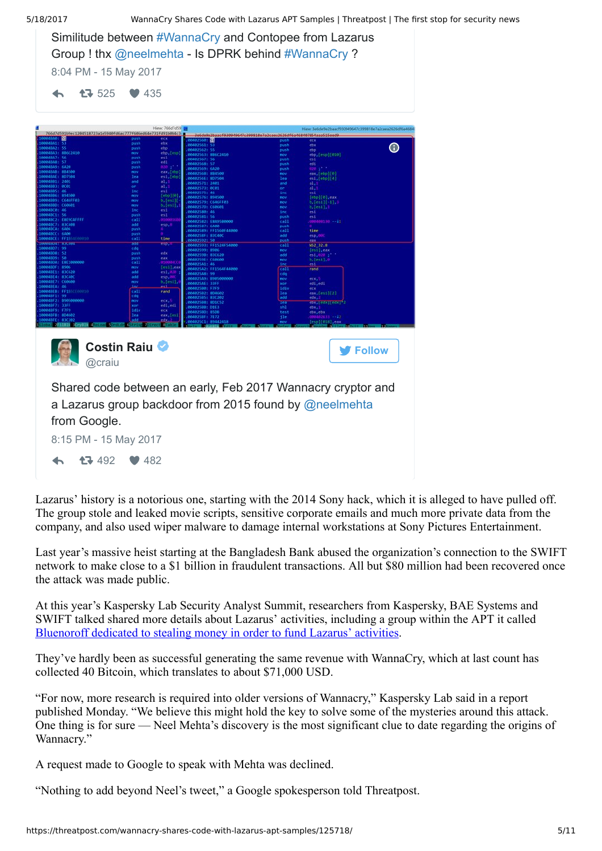| 5/18/2017                                                                                                                                                                                                                                                                                                                                                                                                                                                                                                                                                                                                                                        | WannaCry Shares Code with Lazarus APT Samples   Threatpost   The first stop for security news                                                                                                                                                                                                                                                                                                                                                                                                                                                                                                                                                                                                                                                                                                                                                                                                                                                                                                                                                                                                                                                                                                                                                                                                                                                                                                                                                                        |                                                                                                                                                                                                                                                                                                                                                                                                                                                                                                                                                                                                                                                                                                                                                                                           |  |
|--------------------------------------------------------------------------------------------------------------------------------------------------------------------------------------------------------------------------------------------------------------------------------------------------------------------------------------------------------------------------------------------------------------------------------------------------------------------------------------------------------------------------------------------------------------------------------------------------------------------------------------------------|----------------------------------------------------------------------------------------------------------------------------------------------------------------------------------------------------------------------------------------------------------------------------------------------------------------------------------------------------------------------------------------------------------------------------------------------------------------------------------------------------------------------------------------------------------------------------------------------------------------------------------------------------------------------------------------------------------------------------------------------------------------------------------------------------------------------------------------------------------------------------------------------------------------------------------------------------------------------------------------------------------------------------------------------------------------------------------------------------------------------------------------------------------------------------------------------------------------------------------------------------------------------------------------------------------------------------------------------------------------------------------------------------------------------------------------------------------------------|-------------------------------------------------------------------------------------------------------------------------------------------------------------------------------------------------------------------------------------------------------------------------------------------------------------------------------------------------------------------------------------------------------------------------------------------------------------------------------------------------------------------------------------------------------------------------------------------------------------------------------------------------------------------------------------------------------------------------------------------------------------------------------------------|--|
| 8:04 PM - 15 May 2017                                                                                                                                                                                                                                                                                                                                                                                                                                                                                                                                                                                                                            | Similitude between #WannaCry and Contopee from Lazarus<br>Group ! thx @neelmehta - Is DPRK behind #WannaCry ?                                                                                                                                                                                                                                                                                                                                                                                                                                                                                                                                                                                                                                                                                                                                                                                                                                                                                                                                                                                                                                                                                                                                                                                                                                                                                                                                                        |                                                                                                                                                                                                                                                                                                                                                                                                                                                                                                                                                                                                                                                                                                                                                                                           |  |
| 17 525                                                                                                                                                                                                                                                                                                                                                                                                                                                                                                                                                                                                                                           | $\bullet$ 435                                                                                                                                                                                                                                                                                                                                                                                                                                                                                                                                                                                                                                                                                                                                                                                                                                                                                                                                                                                                                                                                                                                                                                                                                                                                                                                                                                                                                                                        |                                                                                                                                                                                                                                                                                                                                                                                                                                                                                                                                                                                                                                                                                                                                                                                           |  |
| 766d7d591b9ec1204518723a1e5940fd6ac777f606ed64e731fd91b0b4c3i                                                                                                                                                                                                                                                                                                                                                                                                                                                                                                                                                                                    | Hiew: 766d7d59                                                                                                                                                                                                                                                                                                                                                                                                                                                                                                                                                                                                                                                                                                                                                                                                                                                                                                                                                                                                                                                                                                                                                                                                                                                                                                                                                                                                                                                       | Hiew: 3e6de9e2baacf930949647c399818e7a2caea2626df6a4684                                                                                                                                                                                                                                                                                                                                                                                                                                                                                                                                                                                                                                                                                                                                   |  |
| 804841: 53<br>804842: 55<br>004843: 88642410<br>884847: 56<br>104848: 57<br>04849: 6420<br>104848: 884500<br>048AE: 807504<br>004881: 2401<br>004883: 0001<br>BBARRS: 46<br>004886: 894500<br>004889: (646FF0)<br>004880: C60601<br>004BC0: 46<br>0048C1: 56<br>004BC2: E8E9CAFFFF<br>0048C7: 83C408<br>0049CA: 6A04<br>004BCC: 6A80<br>0048CE: FF1564600010<br>646041 836464<br>84807: 99<br>04808: 52<br>04809: 50<br>00480A: E8E1000000<br>004BDF: 8906<br>004BE1: 83C620<br>0048E4: 83C400<br>MAAAF7: CKAGAA<br>GAGAREA: 46<br>0048EB: FF155CE00010<br>10048F1: 99<br>0048F2: 8905000000<br>10048F7: 33FF<br>00048F9: F7F9<br>0048FB: 804602 | pus<br>00402560: 32<br>push<br>ebx<br>.004025611<br>push<br>ebp<br>00402562: 55<br>ebp <sub>a</sub> lesp1<br>mov<br>.00402563: 8B6C2410<br>esi<br>push<br>00402567: 56<br>$_{\rm ed1}$<br>push<br>00402568: 57<br>push<br>00402569: 6420<br>eax, [rbp]<br>wom<br>06402568: 884500<br>est, [ebp]<br>  el, 1<br>  el, 1<br>  [ebp][0],<br>  [ebp][0],<br>lea.<br>.0040256E: 807504<br>and<br>00402571: 2401<br>00402573: 0001<br><b>Tnc</b><br>00402575: 46<br><b>mov</b><br>004025761 894500<br>b, [est]<br>00402579: C646FF03<br>$b$ , [esi],<br>nov<br>00402570: 060601<br>inc<br>esi<br>(86482588: 46)<br>est<br>ations:<br>push<br>00402581: 56<br>call<br>00402582: E8A95B0000<br>add<br>esp, 8<br>00402587: 6400<br>push<br>004025891 FF1568F44000<br>push<br>0040258F: 83C40C<br>call<br>time<br>864825921 58<br>aud<br>eps <sub>z</sub><br>00402593: FF1524F54000<br>edq<br>00402599: 8906<br>edx<br>push<br>.00402598: 83C620<br>.0040259E: C60600<br>$\frac{100}{010000}$<br>push<br>call<br>004025A1: 46<br>[esi], eax<br>nov<br>004025A2: FF1564F44000<br>add<br>es1,02<br>.004025A8: 99<br>add<br>eso, 0<br>00402549: 8905000000<br>b, [est],<br>mau<br><b>.804825AE: 33FF</b><br>للقاف<br>00402500: F7F9<br>ănr<br>cal1<br>nand<br>06402582: 804602<br>edq<br>00402585: 83C202<br>nov<br>ecx <sub>i</sub> 5<br>00402588: 801C52<br>xoe<br>edi, edi<br>00402588: 01E3<br>idiv<br>ecx<br>06402580: 8506<br>eax, [es]<br>0040258F: 7E72<br>M02SC1: 8944241 | push<br>eca<br>ebx<br>pust<br>$\odot$<br>push<br>ebp<br>ebp,[esp][010]<br>nov<br>push<br>esi<br>push<br>edi<br>push<br>$\frac{\text{eax}}{\text{esi}_s[\text{ebp}][0]}$<br>$rac{nov}{les}$<br>and<br>or<br>a1,1<br>a1.1<br>$\frac{1}{2}$<br>esi<br>$[ebp][0],$ eax<br>b, $[es1][-1],$<br>nov<br>nov<br>nov<br>b, [est], 1<br>inc<br>esi<br>push<br>esi<br>000408130 -- 41<br>call<br>push<br>call<br>time<br>add<br>e <sub>5</sub> p <sub>a</sub> 00<br>push<br>eax.<br>WS2_32.8<br>call<br>$[est],$ eax<br>nov<br>add<br>0.1,020,1<br>nov<br>int<br>esi.<br>call<br>rand<br>cda<br>ecx.<br>nov<br>edi <sub>a</sub> edi<br>xor<br>idiv<br>ecx<br>$\textsf{cax}_{s}(\textsf{est}](2)$<br>les<br>add<br>edx,<br>$cbx$ , $edx$ $  cdx  ^2$<br>m<br>shì<br>ebx.<br>ebx, ebx<br>esp][018], eax |  |
| @craiu                                                                                                                                                                                                                                                                                                                                                                                                                                                                                                                                                                                                                                           | Costin Raiu                                                                                                                                                                                                                                                                                                                                                                                                                                                                                                                                                                                                                                                                                                                                                                                                                                                                                                                                                                                                                                                                                                                                                                                                                                                                                                                                                                                                                                                          | <b>V</b> Follow                                                                                                                                                                                                                                                                                                                                                                                                                                                                                                                                                                                                                                                                                                                                                                           |  |
| from Google.<br>8:15 PM - 15 May 2017                                                                                                                                                                                                                                                                                                                                                                                                                                                                                                                                                                                                            | Shared code between an early, Feb 2017 Wannacry cryptor and<br>a Lazarus group backdoor from 2015 found by @neelmehta                                                                                                                                                                                                                                                                                                                                                                                                                                                                                                                                                                                                                                                                                                                                                                                                                                                                                                                                                                                                                                                                                                                                                                                                                                                                                                                                                |                                                                                                                                                                                                                                                                                                                                                                                                                                                                                                                                                                                                                                                                                                                                                                                           |  |
| 17 492                                                                                                                                                                                                                                                                                                                                                                                                                                                                                                                                                                                                                                           | $\bullet$ 482                                                                                                                                                                                                                                                                                                                                                                                                                                                                                                                                                                                                                                                                                                                                                                                                                                                                                                                                                                                                                                                                                                                                                                                                                                                                                                                                                                                                                                                        |                                                                                                                                                                                                                                                                                                                                                                                                                                                                                                                                                                                                                                                                                                                                                                                           |  |

Lazarus' history is a notorious one, starting with the 2014 Sony hack, which it is alleged to have pulled off. The group stole and leaked movie scripts, sensitive corporate emails and much more private data from the company, and also used wiper malware to damage internal workstations at Sony Pictures Entertainment.

Last year's massive heist starting at the Bangladesh Bank abused the organization's connection to the SWIFT network to make close to a \$1 billion in fraudulent transactions. All but \$80 million had been recovered once the attack was made public.

At this year's Kaspersky Lab Security Analyst Summit, researchers from Kaspersky, BAE Systems and SWIFT talked shared more details about Lazarus' activities, including a group within the APT it called [Bluenoroff dedicated to stealing money in order to fund Lazarus' activities](https://threatpost.com/lazarus-apt-spinoff-linked-to-banking-hacks/124746/).

They've hardly been as successful generating the same revenue with WannaCry, which at last count has collected 40 Bitcoin, which translates to about \$71,000 USD.

"For now, more research is required into older versions of Wannacry," Kaspersky Lab said in a report published Monday. "We believe this might hold the key to solve some of the mysteries around this attack. One thing is for sure — Neel Mehta's discovery is the most significant clue to date regarding the origins of Wannacry."

A request made to Google to speak with Mehta was declined.

"Nothing to add beyond Neel's tweet," a Google spokesperson told Threatpost.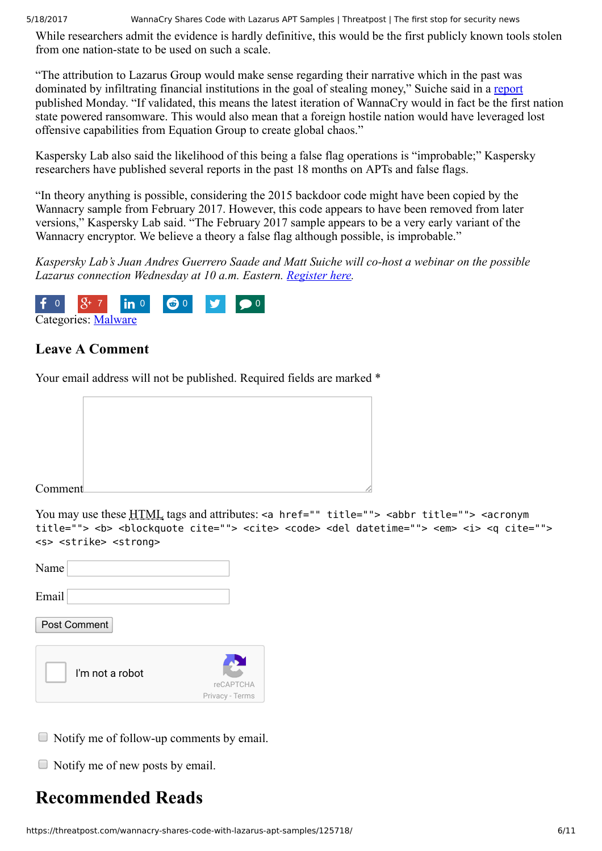While researchers admit the evidence is hardly definitive, this would be the first publicly known tools stolen from one nation-state to be used on such a scale.

"The attribution to Lazarus Group would make sense regarding their narrative which in the past was dominated by infiltrating financial institutions in the goal of stealing money," Suiche said in a [report](https://blog.comae.io/wannacry-links-to-lazarus-group-dcea72c99d2d) published Monday. "If validated, this means the latest iteration of WannaCry would in fact be the first nation state powered ransomware. This would also mean that a foreign hostile nation would have leveraged lost offensive capabilities from Equation Group to create global chaos."

Kaspersky Lab also said the likelihood of this being a false flag operations is "improbable;" Kaspersky researchers have published several reports in the past 18 months on APTs and false flags.

"In theory anything is possible, considering the 2015 backdoor code might have been copied by the Wannacry sample from February 2017. However, this code appears to have been removed from later versions," Kaspersky Lab said. "The February 2017 sample appears to be a very early variant of the Wannacry encryptor. We believe a theory a false flag although possible, is improbable."

*Kaspersky Lab's Juan Andres Guerrero Saade and Matt Suiche will co-host a webinar on the possible Lazarus connection Wednesday at 10 a.m. Eastern. [Register here](https://kaspersky.webex.com/kaspersky/j.php?RGID=r003cf21c29d901ed30583aaa40832a90).*



### <span id="page-5-0"></span>**Leave A Comment**

Your email address will not be published. Required fields are marked \*



You may use these HTML tags and attributes: <a href="" title=""> <abbr title=""> <acronym title=""> <b> <blockquote cite=""> <cite> <code> <del datetime=""> <em> <i> <q cite=""> <s> <strike> <strong>

| Name  |              |  |  |
|-------|--------------|--|--|
| Email |              |  |  |
|       | Post Comment |  |  |

| I'm not a robot |                 |  |
|-----------------|-----------------|--|
|                 | reCAPTCHA       |  |
|                 | Privacy - Terms |  |

- Notify me of follow-up comments by email.
- $\Box$  Notify me of new posts by email.

## **Recommended Reads**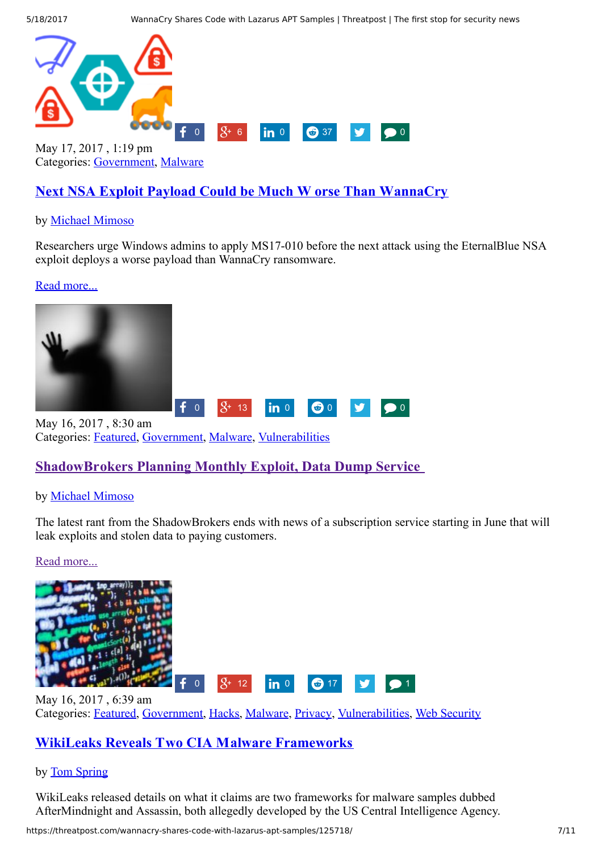

Categories: [Government,](https://threatpost.com/category/government/) [Malware](https://threatpost.com/category/malware-2/)

### **[Next NSA Exploit Payload Could be Much W](https://threatpost.com/next-nsa-exploit-payload-could-be-much-worse-than-wannacry/125743/) orse Than WannaCry**

#### by [Michael Mimoso](https://threatpost.com/author/michael/)

Researchers urge Windows admins to apply MS17-010 before the next attack using the EternalBlue NSA exploit deploys a worse payload than WannaCry ransomware.

#### [Read more...](https://threatpost.com/next-nsa-exploit-payload-could-be-much-worse-than-wannacry/125743/)



May 16, 2017 , 8:30 am Categories: [Featured,](https://threatpost.com/category/featured/) [Government,](https://threatpost.com/category/government/) [Malware,](https://threatpost.com/category/malware-2/) [Vulnerabilities](https://threatpost.com/category/vulnerabilities/)

### **[ShadowBrokers Planning Monthly Exploit, Data Dump Service](https://threatpost.com/shadowbrokers-planning-monthly-exploit-data-dump-service/125710/)**

#### by [Michael Mimoso](https://threatpost.com/author/michael/)

The latest rant from the ShadowBrokers ends with news of a subscription service starting in June that will leak exploits and stolen data to paying customers.

[Read more...](https://threatpost.com/shadowbrokers-planning-monthly-exploit-data-dump-service/125710/)



Categories: [Featured,](https://threatpost.com/category/featured/) [Government,](https://threatpost.com/category/government/) [Hacks,](https://threatpost.com/category/hacks/) [Malware,](https://threatpost.com/category/malware-2/) [Privacy](https://threatpost.com/category/privacy/), [Vulnerabilities,](https://threatpost.com/category/vulnerabilities/) [Web Security](https://threatpost.com/category/web-security/)

### **[WikiLeaks Reveals Two CIA Malware Frameworks](https://threatpost.com/wikileaks-reveals-two-cia-malware-frameworks/125701/)**

#### by [Tom Spring](https://threatpost.com/author/thomas/)

WikiLeaks released details on what it claims are two frameworks for malware samples dubbed AfterMindnight and Assassin, both allegedly developed by the US Central Intelligence Agency.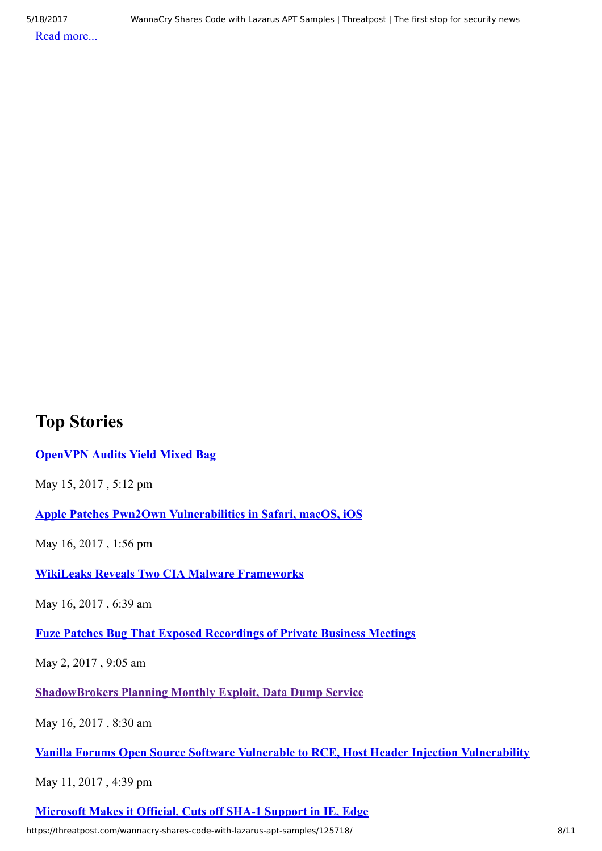[Read more...](https://threatpost.com/wikileaks-reveals-two-cia-malware-frameworks/125701/)

## **Top Stories**

**[OpenVPN Audits Yield Mixed Bag](https://threatpost.com/openvpn-audits-yield-mixed-bag/125694/)**

May 15, 2017 , 5:12 pm

**[Apple Patches Pwn2Own Vulnerabilities in Safari, macOS, iOS](https://threatpost.com/apple-patches-pwn2own-vulnerabilities-in-safari-macos-ios/125725/)**

May 16, 2017 , 1:56 pm

**[WikiLeaks Reveals Two CIA Malware Frameworks](https://threatpost.com/wikileaks-reveals-two-cia-malware-frameworks/125701/)**

May 16, 2017 , 6:39 am

**[Fuze Patches Bug That Exposed Recordings of Private Business Meetings](https://threatpost.com/fuze-patches-bug-that-exposed-recordings-of-private-business-meetings/125334/)**

May 2, 2017 , 9:05 am

**[ShadowBrokers Planning Monthly Exploit, Data Dump Service](https://threatpost.com/shadowbrokers-planning-monthly-exploit-data-dump-service/125710/)**

May 16, 2017 , 8:30 am

**[Vanilla Forums Open Source Software Vulnerable to RCE, Host Header Injection Vulnerability](https://threatpost.com/vanilla-forums-software-vulnerable-to-rce-host-header-injection-vulnerability/125615/)**

May 11, 2017 , 4:39 pm

**[Microsoft Makes it Official, Cuts off SHA-1 Support in IE, Edge](https://threatpost.com/microsoft-makes-it-official-cuts-off-sha-1-support-in-ie-edge/125579/)**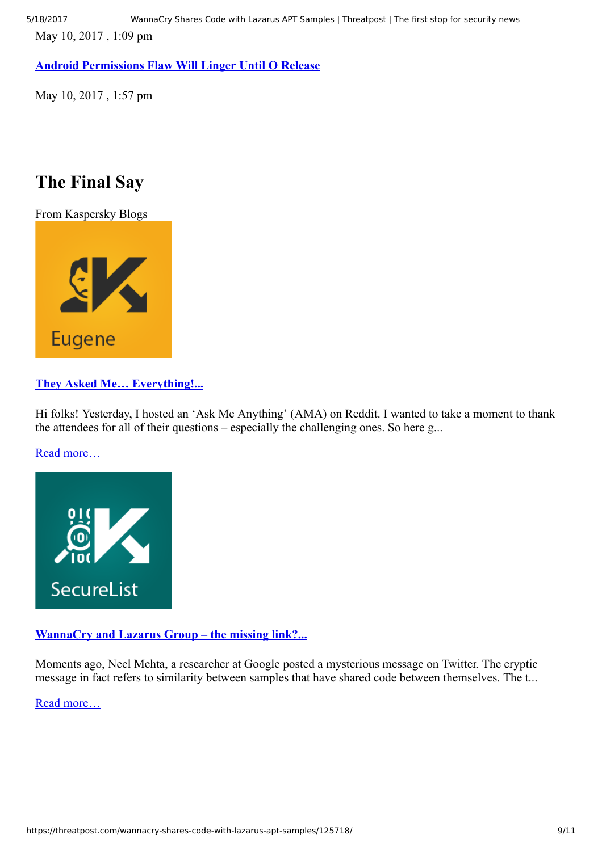May 10, 2017 , 1:09 pm

**[Android Permissions Flaw Will Linger Until O Release](https://threatpost.com/android-permissions-flaw-will-linger-until-o-release/125561/)**

May 10, 2017 , 1:57 pm

## **The Final Say**

From Kaspersky Blogs



## **[They Asked Me… Everything!...](https://eugene.kaspersky.com/2017/05/12/they-asked-me-everything/)**

Hi folks! Yesterday, I hosted an 'Ask Me Anything' (AMA) on Reddit. I wanted to take a moment to thank the attendees for all of their questions – especially the challenging ones. So here g...

[Read more…](https://eugene.kaspersky.com/2017/05/12/they-asked-me-everything/)



### **[WannaCry and Lazarus Group – the missing link?...](https://securelist.com/blog/research/78431/wannacry-and-lazarus-group-the-missing-link/)**

Moments ago, Neel Mehta, a researcher at Google posted a mysterious message on Twitter. The cryptic message in fact refers to similarity between samples that have shared code between themselves. The t...

[Read more…](https://securelist.com/blog/research/78431/wannacry-and-lazarus-group-the-missing-link/)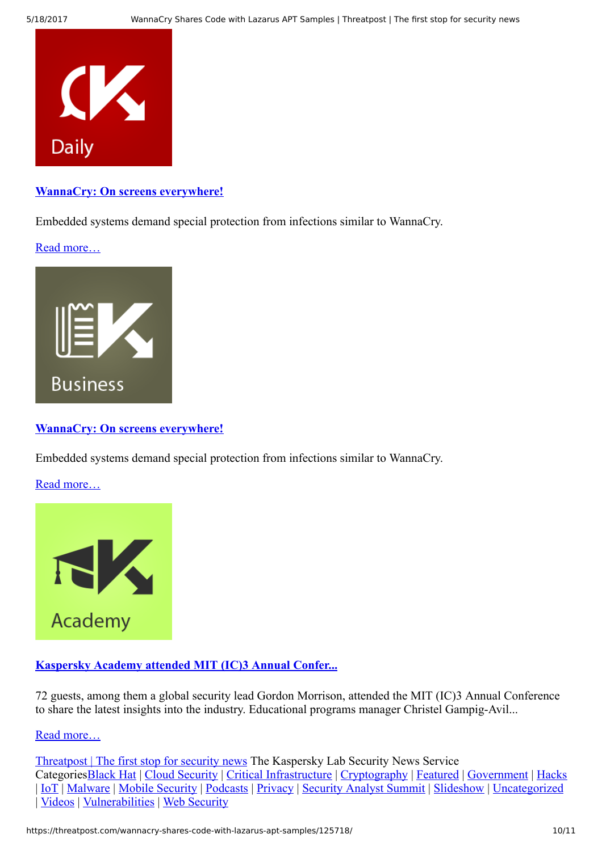

**[WannaCry: On screens everywhere!](https://blog.kaspersky.com/wannacry-and-embedded/16604/)**

Embedded systems demand special protection from infections similar to WannaCry.

[Read more…](https://blog.kaspersky.com/wannacry-and-embedded/16604/)



#### **[WannaCry: On screens everywhere!](https://blog.kaspersky.com/wannacry-and-embedded/16604/)**

Embedded systems demand special protection from infections similar to WannaCry.

[Read more…](https://blog.kaspersky.com/wannacry-and-embedded/16604/)



#### **[Kaspersky Academy attended MIT \(IC\)3 Annual Confer...](https://academy.kaspersky.com/ic3-2016/)**

72 guests, among them a global security lead Gordon Morrison, attended the MIT (IC)3 Annual Conference to share the latest insights into the industry. Educational programs manager Christel Gampig-Avil...

[Read more…](https://academy.kaspersky.com/ic3-2016/)

[Threatpost | The first stop for security news](https://threatpost.com/) The Kaspersky Lab Security News Service Categorie[sBlack Hat](https://threatpost.com/category/bh/) | [Cloud Security](https://threatpost.com/category/cloud-security/) | [Critical Infrastructure](https://threatpost.com/category/critical-infrastructure/) | [Cryptography](https://threatpost.com/category/cryptography/) | [Featured](https://threatpost.com/category/featured/) | [Government](https://threatpost.com/category/government/) | [Hacks](https://threatpost.com/category/hacks/) | [IoT](https://threatpost.com/category/iot/) | [Malware](https://threatpost.com/category/malware-2/) | [Mobile Security](https://threatpost.com/category/mobile-security/) | [Podcasts](https://threatpost.com/category/podcasts/) | [Privacy](https://threatpost.com/category/privacy/) | [Security Analyst Summit](https://threatpost.com/category/sas/) | [Slideshow](https://threatpost.com/category/slideshow/) | [Uncategorized](https://threatpost.com/category/uncategorized/) | [Videos](https://threatpost.com/category/videos/) | [Vulnerabilities](https://threatpost.com/category/vulnerabilities/) | [Web Security](https://threatpost.com/category/web-security/)